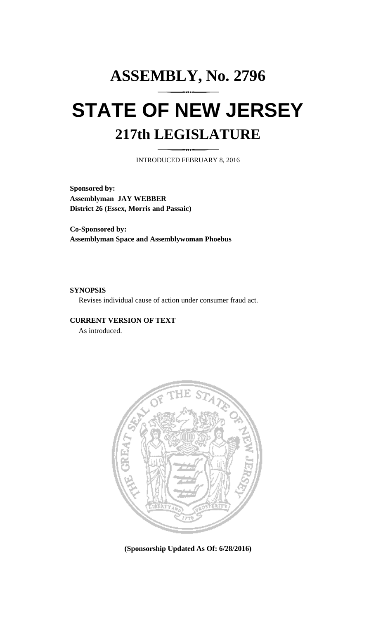# **ASSEMBLY, No. 2796 STATE OF NEW JERSEY 217th LEGISLATURE**

INTRODUCED FEBRUARY 8, 2016

**Sponsored by: Assemblyman JAY WEBBER District 26 (Essex, Morris and Passaic)**

**Co-Sponsored by: Assemblyman Space and Assemblywoman Phoebus**

## **SYNOPSIS**

Revises individual cause of action under consumer fraud act.

## **CURRENT VERSION OF TEXT**

As introduced.



**(Sponsorship Updated As Of: 6/28/2016)**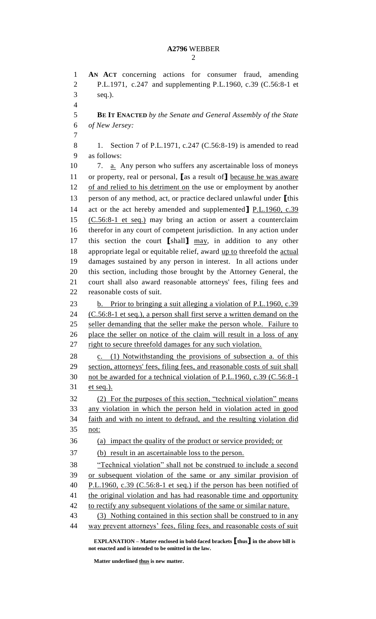### **A2796** WEBBER

 **AN ACT** concerning actions for consumer fraud, amending P.L.1971, c.247 and supplementing P.L.1960, c.39 (C.56:8-1 et seq.). **BE IT ENACTED** *by the Senate and General Assembly of the State of New Jersey:* 8 1. Section 7 of P.L.1971, c.247 (C.56:8-19) is amended to read as follows: 10 7. <u>a.</u> Any person who suffers any ascertainable loss of moneys or property, real or personal, **[**as a result of**]** because he was aware 12 of and relied to his detriment on the use or employment by another person of any method, act, or practice declared unlawful under **[**this act or the act hereby amended and supplemented**]** P.L.1960, c.39 (C.56:8-1 et seq.) may bring an action or assert a counterclaim therefor in any court of competent jurisdiction. In any action under this section the court **[**shall**]** may, in addition to any other appropriate legal or equitable relief, award up to threefold the actual damages sustained by any person in interest. In all actions under this section, including those brought by the Attorney General, the court shall also award reasonable attorneys' fees, filing fees and reasonable costs of suit. b. Prior to bringing a suit alleging a violation of P.L.1960, c.39 (C.56:8-1 et seq.), a person shall first serve a written demand on the seller demanding that the seller make the person whole. Failure to place the seller on notice of the claim will result in a loss of any 27 right to secure threefold damages for any such violation. c. (1) Notwithstanding the provisions of subsection a. of this section, attorneys' fees, filing fees, and reasonable costs of suit shall not be awarded for a technical violation of P.L.1960, c.39 (C.56:8-1 et seq.). (2) For the purposes of this section, "technical violation" means any violation in which the person held in violation acted in good faith and with no intent to defraud, and the resulting violation did not: (a) impact the quality of the product or service provided; or (b) result in an ascertainable loss to the person. "Technical violation" shall not be construed to include a second or subsequent violation of the same or any similar provision of P.L.1960, c.39 (C.56:8-1 et seq.) if the person has been notified of 41 the original violation and has had reasonable time and opportunity 42 to rectify any subsequent violations of the same or similar nature. (3) Nothing contained in this section shall be construed to in any way prevent attorneys' fees, filing fees, and reasonable costs of suit

**EXPLANATION – Matter enclosed in bold-faced brackets [thus] in the above bill is not enacted and is intended to be omitted in the law.**

**Matter underlined thus is new matter.**